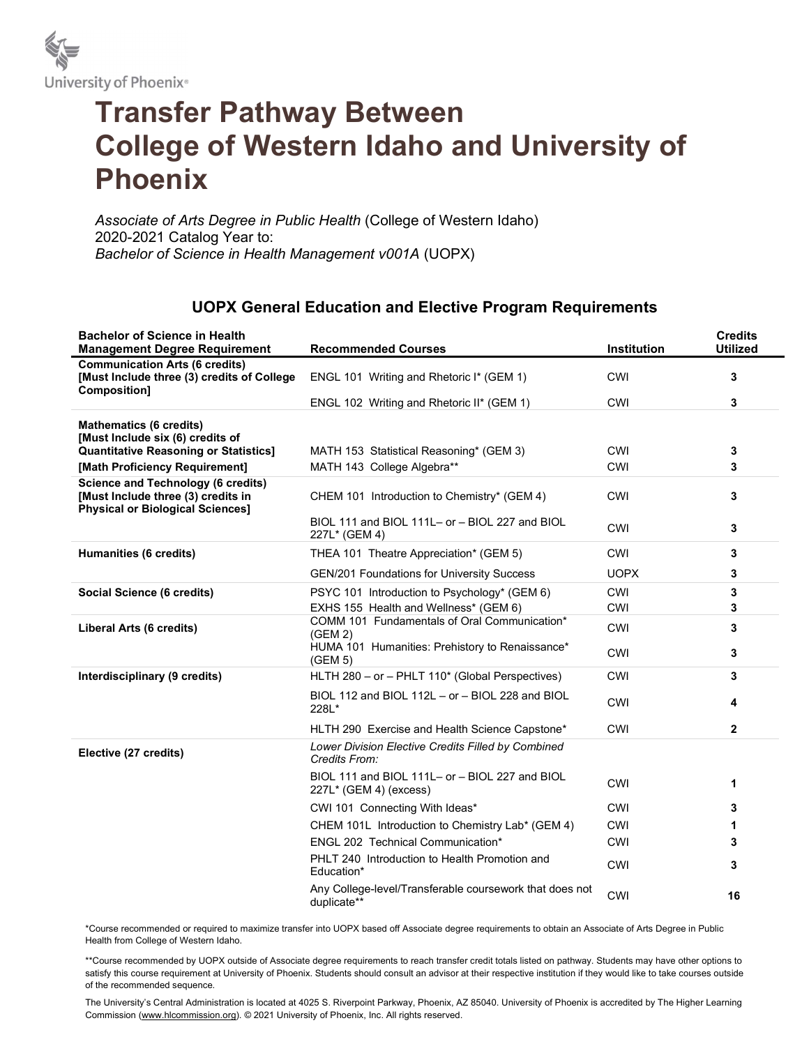

## Transfer Pathway Between College of Western Idaho and University of Phoenix

Associate of Arts Degree in Public Health (College of Western Idaho) 2020-2021 Catalog Year to: Bachelor of Science in Health Management v001A (UOPX)

## UOPX General Education and Elective Program Requirements

| <b>Bachelor of Science in Health</b><br><b>Management Degree Requirement</b>                                               | <b>Recommended Courses</b>                                                  | <b>Institution</b> | <b>Credits</b><br><b>Utilized</b> |
|----------------------------------------------------------------------------------------------------------------------------|-----------------------------------------------------------------------------|--------------------|-----------------------------------|
| <b>Communication Arts (6 credits)</b><br>[Must Include three (3) credits of College<br><b>Composition]</b>                 | ENGL 101 Writing and Rhetoric I* (GEM 1)                                    | CWI                | 3                                 |
|                                                                                                                            | ENGL 102 Writing and Rhetoric II* (GEM 1)                                   | <b>CWI</b>         | 3                                 |
| <b>Mathematics (6 credits)</b><br>[Must Include six (6) credits of                                                         |                                                                             |                    |                                   |
| <b>Quantitative Reasoning or Statistics]</b>                                                                               | MATH 153 Statistical Reasoning* (GEM 3)                                     | <b>CWI</b>         | 3                                 |
| [Math Proficiency Requirement]                                                                                             | MATH 143 College Algebra**                                                  | CWI                | 3                                 |
| <b>Science and Technology (6 credits)</b><br>[Must Include three (3) credits in<br><b>Physical or Biological Sciences]</b> | CHEM 101 Introduction to Chemistry* (GEM 4)                                 | <b>CWI</b>         | 3                                 |
|                                                                                                                            | BIOL 111 and BIOL 111L- or - BIOL 227 and BIOL<br>227L* (GEM 4)             | <b>CWI</b>         | 3                                 |
| Humanities (6 credits)                                                                                                     | THEA 101 Theatre Appreciation* (GEM 5)                                      | CWI                | 3                                 |
|                                                                                                                            | <b>GEN/201 Foundations for University Success</b>                           | <b>UOPX</b>        | 3                                 |
| Social Science (6 credits)                                                                                                 | PSYC 101 Introduction to Psychology* (GEM 6)                                | <b>CWI</b>         | 3                                 |
|                                                                                                                            | EXHS 155 Health and Wellness* (GEM 6)                                       | CWI                | 3                                 |
| Liberal Arts (6 credits)                                                                                                   | COMM 101 Fundamentals of Oral Communication*<br>(GEM 2)                     | CWI                | 3                                 |
|                                                                                                                            | HUMA 101 Humanities: Prehistory to Renaissance*<br>(GEM 5)                  | <b>CWI</b>         | 3                                 |
| Interdisciplinary (9 credits)                                                                                              | HLTH 280 - or - PHLT 110* (Global Perspectives)                             | CWI                | 3                                 |
|                                                                                                                            | BIOL 112 and BIOL 112L - or - BIOL 228 and BIOL<br>228L*                    | <b>CWI</b>         | 4                                 |
|                                                                                                                            | HLTH 290 Exercise and Health Science Capstone*                              | CWI                | $\mathbf{2}$                      |
| Elective (27 credits)                                                                                                      | Lower Division Elective Credits Filled by Combined<br>Credits From:         |                    |                                   |
|                                                                                                                            | BIOL 111 and BIOL 111L- or - BIOL 227 and BIOL<br>$227L^*$ (GEM 4) (excess) | <b>CWI</b>         | 1                                 |
|                                                                                                                            | CWI 101 Connecting With Ideas*                                              | <b>CWI</b>         | 3                                 |
|                                                                                                                            | CHEM 101L Introduction to Chemistry Lab* (GEM 4)                            | CWI                | 1                                 |
|                                                                                                                            | <b>ENGL 202 Technical Communication*</b>                                    | <b>CWI</b>         | 3                                 |
|                                                                                                                            | PHLT 240 Introduction to Health Promotion and<br>Education*                 | <b>CWI</b>         | 3                                 |
|                                                                                                                            | Any College-level/Transferable coursework that does not<br>duplicate**      | <b>CWI</b>         | 16                                |

\*Course recommended or required to maximize transfer into UOPX based off Associate degree requirements to obtain an Associate of Arts Degree in Public Health from College of Western Idaho.

\*\*Course recommended by UOPX outside of Associate degree requirements to reach transfer credit totals listed on pathway. Students may have other options to satisfy this course requirement at University of Phoenix. Students should consult an advisor at their respective institution if they would like to take courses outside of the recommended sequence.

The University's Central Administration is located at 4025 S. Riverpoint Parkway, Phoenix, AZ 85040. University of Phoenix is accredited by The Higher Learning Commission (www.hlcommission.org). © 2021 University of Phoenix, Inc. All rights reserved.